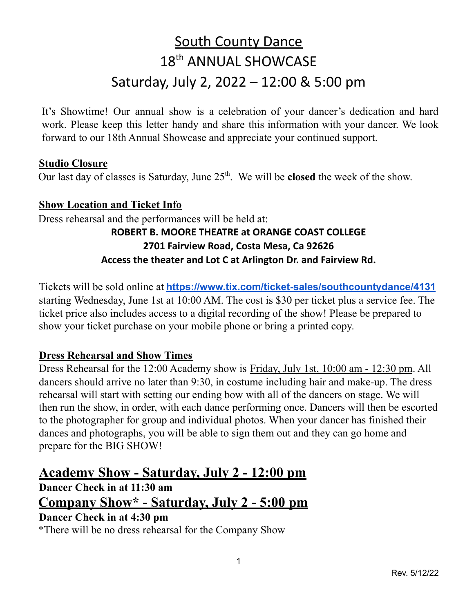# **South County Dance** 18<sup>th</sup> ANNUAL SHOWCASE Saturday, July 2, 2022 – 12:00 & 5:00 pm

It's Showtime! Our annual show is a celebration of your dancer's dedication and hard work. Please keep this letter handy and share this information with your dancer. We look forward to our 18th Annual Showcase and appreciate your continued support.

### **Studio Closure**

Our last day of classes is Saturday, June 25<sup>th</sup>. We will be **closed** the week of the show.

#### **Show Location and Ticket Info**

Dress rehearsal and the performances will be held at: **ROBERT B. MOORE THEATRE at ORANGE COAST COLLEGE 2701 Fairview Road, Costa Mesa, Ca 92626 Access the theater and Lot C at Arlington Dr. and Fairview Rd.**

Tickets will be sold online at **<https://www.tix.com/ticket-sales/southcountydance/4131>** starting Wednesday, June 1st at 10:00 AM. The cost is \$30 per ticket plus a service fee. The ticket price also includes access to a digital recording of the show! Please be prepared to show your ticket purchase on your mobile phone or bring a printed copy.

### **Dress Rehearsal and Show Times**

Dress Rehearsal for the 12:00 Academy show is Friday, July 1st, 10:00 am - 12:30 pm. All dancers should arrive no later than 9:30, in costume including hair and make-up. The dress rehearsal will start with setting our ending bow with all of the dancers on stage. We will then run the show, in order, with each dance performing once. Dancers will then be escorted to the photographer for group and individual photos. When your dancer has finished their dances and photographs, you will be able to sign them out and they can go home and prepare for the BIG SHOW!

## **Academy Show - Saturday, July 2 - 12:00 pm**

**Dancer Check in at 11:30 am Company Show\* - Saturday, July 2 - 5:00 pm Dancer Check in at 4:30 pm**

\*There will be no dress rehearsal for the Company Show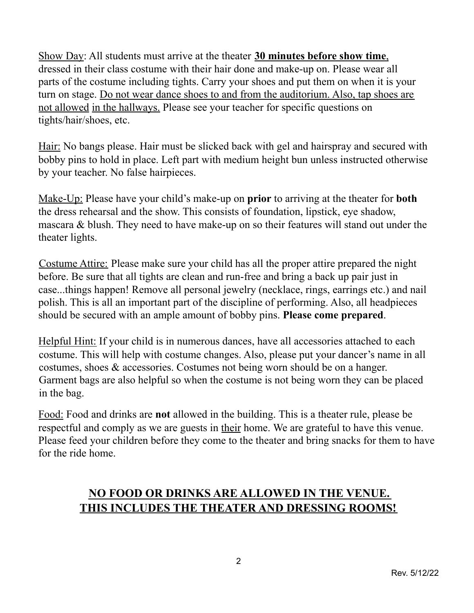Show Day: All students must arrive at the theater **30 minutes before show time**, dressed in their class costume with their hair done and make-up on. Please wear all parts of the costume including tights. Carry your shoes and put them on when it is your turn on stage. Do not wear dance shoes to and from the auditorium. Also, tap shoes are not allowed in the hallways. Please see your teacher for specific questions on tights/hair/shoes, etc.

Hair: No bangs please. Hair must be slicked back with gel and hairspray and secured with bobby pins to hold in place. Left part with medium height bun unless instructed otherwise by your teacher. No false hairpieces.

Make-Up: Please have your child's make-up on **prior** to arriving at the theater for **both** the dress rehearsal and the show. This consists of foundation, lipstick, eye shadow, mascara & blush. They need to have make-up on so their features will stand out under the theater lights.

Costume Attire: Please make sure your child has all the proper attire prepared the night before. Be sure that all tights are clean and run-free and bring a back up pair just in case...things happen! Remove all personal jewelry (necklace, rings, earrings etc.) and nail polish. This is all an important part of the discipline of performing. Also, all headpieces should be secured with an ample amount of bobby pins. **Please come prepared**.

Helpful Hint: If your child is in numerous dances, have all accessories attached to each costume. This will help with costume changes. Also, please put your dancer's name in all costumes, shoes & accessories. Costumes not being worn should be on a hanger. Garment bags are also helpful so when the costume is not being worn they can be placed in the bag.

Food: Food and drinks are **not** allowed in the building. This is a theater rule, please be respectful and comply as we are guests in their home. We are grateful to have this venue. Please feed your children before they come to the theater and bring snacks for them to have for the ride home.

### **NO FOOD OR DRINKS ARE ALLOWED IN THE VENUE. THIS INCLUDES THE THEATER AND DRESSING ROOMS!**